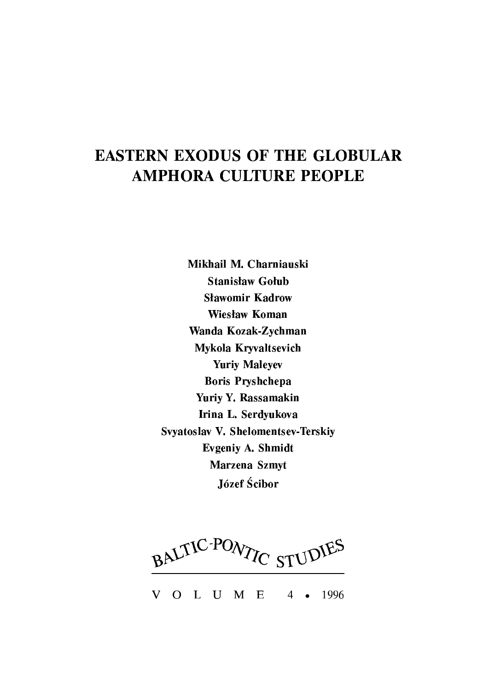# **EASTERN EXODUS OF THE GLOBULAR AMPHORA CULTURE PEOPLE**

Mikhail M. Charniauski **Stanisław Gołub Sławomir Kadrow Wiesław Koman** Wanda Kozak-Zychman Mykola Kryvaltsevich **Yuriy Maleyev Boris Pryshchepa** Yuriy Y. Rassamakin Irina L. Serdyukova Svyatoslav V. Shelomentsev-Terskiy Evgeniy A. Shmidt Marzena Szmyt Józef Ścibor

BALTIC-PONTIC STUDIES

O L U M E V 1996  $4 \bullet$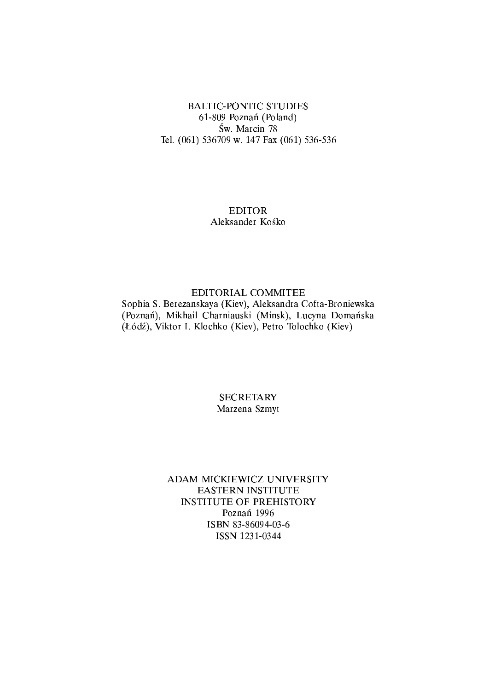### **BALTIC-PONTIC STUDIES** 61-809 Poznań (Poland) Św. Marcin 78 Tel. (061) 536709 w. 147 Fax (061) 536-536

## **EDITOR** Aleksander Kośko

#### EDITORIAL COMMITEE

Sophia S. Berezanskaya (Kiev), Aleksandra Cofta-Broniewska (Poznań), Mikhail Charniauski (Minsk), Lucyna Domańska (Łódź), Viktor I. Klochko (Kiev), Petro Tolochko (Kiev)

### **SECRETARY** Marzena Szmyt

#### ADAM MICKIEWICZ UNIVERSITY **EASTERN INSTITUTE INSTITUTE OF PREHISTORY** Poznań 1996 ISBN 83-86094-03-6 ISSN 1231-0344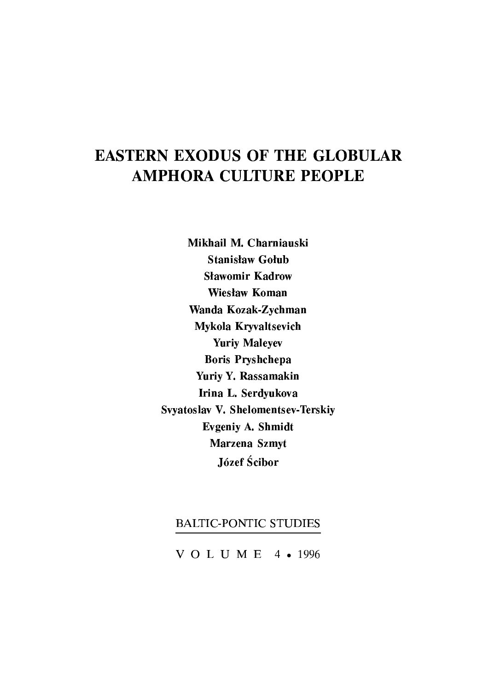# **EASTERN EXODUS OF THE GLOBULAR AMPHORA CULTURE PEOPLE**

Mikhail M. Charniauski **Stanisław Gołub Sławomir Kadrow Wiesław Koman** Wanda Kozak-Zychman Mykola Kryvaltsevich **Yuriy Maleyev Boris Pryshchepa** Yuriy Y. Rassamakin Irina L. Serdyukova Svyatoslav V. Shelomentsev-Terskiy Evgeniy A. Shmidt Marzena Szmyt Józef Ścibor

# **BALTIC-PONTIC STUDIES**

VOLUME 4 • 1996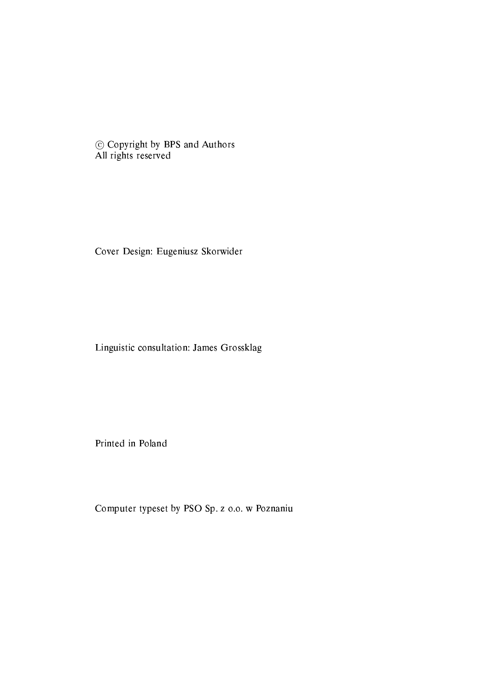© Copyright by BPS and Authors All rights reserved

Cover Design: Eugeniusz Skorwider

Linguistic consultation: James Grossklag

Printed in Poland

Computer typeset by PSO Sp. z o.o. w Poznaniu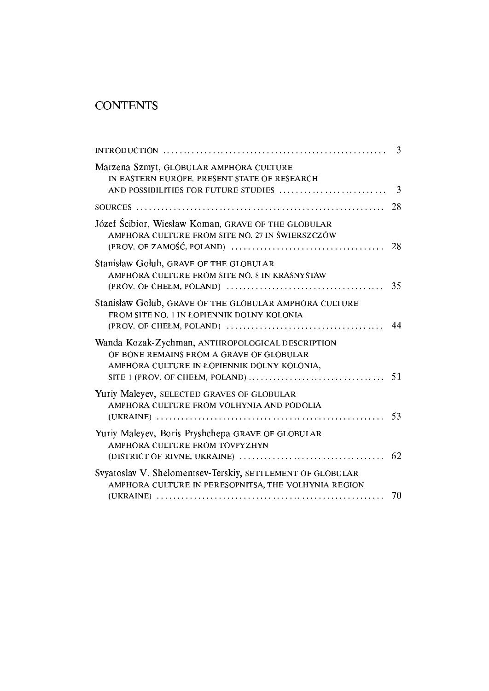# **CONTENTS**

|                                                                                                                                             | -3  |
|---------------------------------------------------------------------------------------------------------------------------------------------|-----|
| Marzena Szmyt, GLOBULAR AMPHORA CULTURE<br>IN EASTERN EUROPE. PRESENT STATE OF RESEARCH<br>AND POSSIBILITIES FOR FUTURE STUDIES             | 3   |
|                                                                                                                                             | 28  |
| Józef Ścibior, Wiesław Koman, GRAVE OF THE GLOBULAR<br>AMPHORA CULTURE FROM SITE NO. 27 IN ŚWIERSZCZÓW                                      |     |
| Stanisław Gołub, GRAVE OF THE GLOBULAR<br>AMPHORA CULTURE FROM SITE NO. 8 IN KRASNYSTAW                                                     | 35  |
| Stanisław Gołub, GRAVE OF THE GLOBULAR AMPHORA CULTURE<br>FROM SITE NO. 1 IN ŁOPIENNIK DOLNY KOLONIA                                        | 44  |
| Wanda Kozak-Zychman, ANTHROPOLOGICAL DESCRIPTION<br>OF BONE REMAINS FROM A GRAVE OF GLOBULAR<br>AMPHORA CULTURE IN ŁOPIENNIK DOLNY KOLONIA, | 51  |
| Yuriy Maleyev, SELECTED GRAVES OF GLOBULAR<br>AMPHORA CULTURE FROM VOLHYNIA AND PODOLIA                                                     | -53 |
| Yuriy Maleyev, Boris Pryshchepa GRAVE OF GLOBULAR<br>AMPHORA CULTURE FROM TOVPYZHYN                                                         | 62  |
| Svyatoslav V. Shelomentsev-Terskiy, SETTLEMENT OF GLOBULAR<br>AMPHORA CULTURE IN PERESOPNITSA, THE VOLHYNIA REGION                          |     |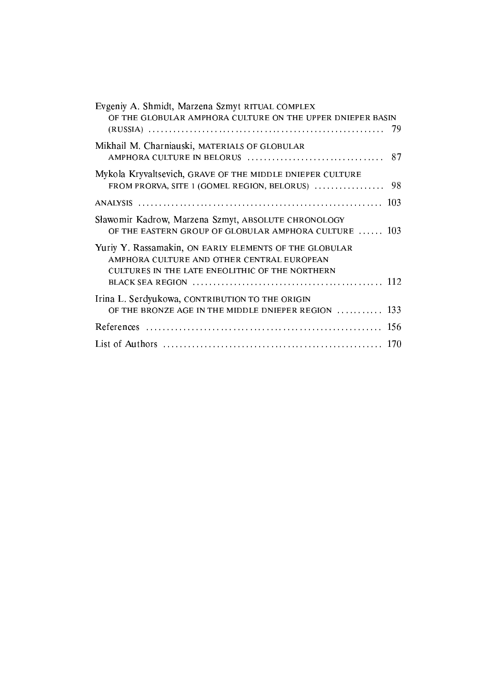| Evgeniy A. Shmidt, Marzena Szmyt RITUAL COMPLEX<br>OF THE GLOBULAR AMPHORA CULTURE ON THE UPPER DNIEPER BASIN<br>-79                                    |  |
|---------------------------------------------------------------------------------------------------------------------------------------------------------|--|
| Mikhail M. Charniauski, MATERIALS OF GLOBULAR                                                                                                           |  |
| Mykola Kryvaltsevich, GRAVE OF THE MIDDLE DNIEPER CULTURE<br>98<br>FROM PRORVA, SITE 1 (GOMEL REGION, BELORUS)                                          |  |
|                                                                                                                                                         |  |
| Sławomir Kadrow, Marzena Szmyt, ABSOLUTE CHRONOLOGY<br>OF THE EASTERN GROUP OF GLOBULAR AMPHORA CULTURE  103                                            |  |
| Yuriy Y. Rassamakin, ON EARLY ELEMENTS OF THE GLOBULAR<br>AMPHORA CULTURE AND OTHER CENTRAL EUROPEAN<br>CULTURES IN THE LATE ENEOLITHIC OF THE NORTHERN |  |
| Irina L. Serdyukowa, CONTRIBUTION TO THE ORIGIN<br>OF THE BRONZE AGE IN THE MIDDLE DNIEPER REGION $\dots \dots \dots$ 133                               |  |
|                                                                                                                                                         |  |
|                                                                                                                                                         |  |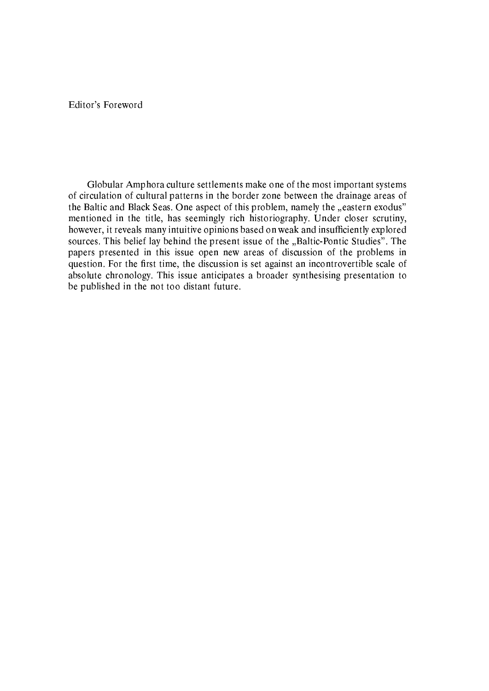Editor's Foreword

Globular Amphora culture settlements make one of the most important systems of circulation of cultural patterns in the border zone between the drainage areas of the Baltic and Black Seas. One aspect of this problem, namely the "eastern exodus" mentioned in the title, has seemingly rich historiography. Under closer scrutiny, however, it reveals many intuitive opinions based on weak and insufficiently explored sources. This belief lay behind the present issue of the "Baltic-Pontic Studies". The papers presented in this issue open new areas of discussion of the problems in question. For the first time, the discussion is set against an incontrovertible scale of absolute chronology. This issue anticipates a broader synthesising presentation to be published in the not too distant future.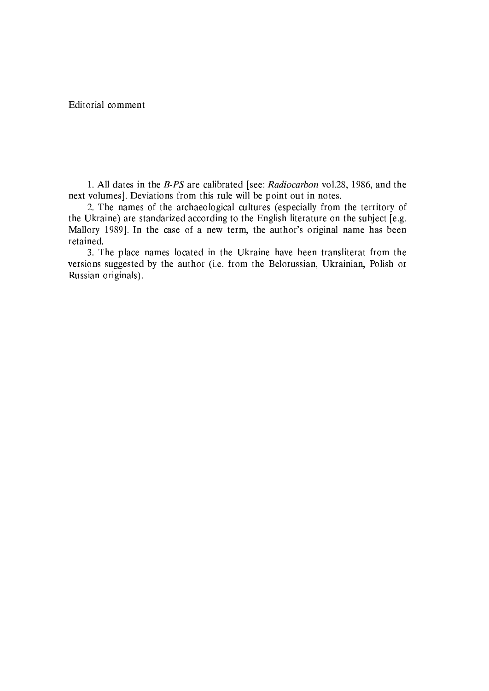Editorial comment

1. All dates in the B-PS are calibrated [see: Radiocarbon vol.28, 1986, and the next volumes]. Deviations from this rule will be point out in notes.

2. The names of the archaeological cultures (especially from the territory of the Ukraine) are standarized according to the English literature on the subject [e.g. Mallory 1989]. In the case of a new term, the author's original name has been retained.

3. The place names located in the Ukraine have been transliterat from the versions suggested by the author (i.e. from the Belorussian, Ukrainian, Polish or Russian originals).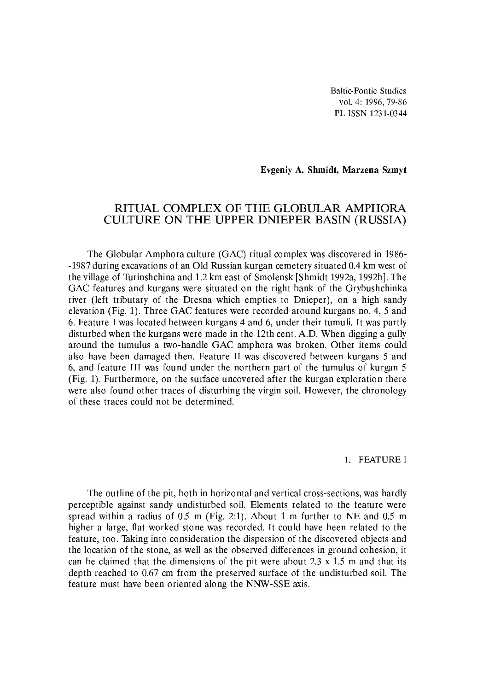**Baltic-Pontic Studies** vol. 4: 1996, 79-86 PL ISSN 1231-0344

#### Evgeniy A. Shmidt, Marzena Szmyt

### RITUAL COMPLEX OF THE GLOBULAR AMPHORA CULTURE ON THE UPPER DNIEPER BASIN (RUSSIA)

The Globular Amphora culture (GAC) ritual complex was discovered in 1986--1987 during excavations of an Old Russian kurgan cemetery situated 0.4 km west of the village of Turinshchina and 1.2 km east of Smolensk [Shmidt 1992a, 1992b]. The GAC features and kurgans were situated on the right bank of the Grybushchinka river (left tributary of the Dresna which empties to Dnieper), on a high sandy elevation (Fig. 1). Three GAC features were recorded around kurgans no. 4, 5 and 6. Feature I was located between kurgans 4 and 6, under their tumuli. It was partly disturbed when the kurgans were made in the 12th cent. A.D. When digging a gully around the tumulus a two-handle GAC amphora was broken. Other items could also have been damaged then. Feature II was discovered between kurgans 5 and 6, and feature III was found under the northern part of the tumulus of kurgan 5 (Fig. 1). Furthermore, on the surface uncovered after the kurgan exploration there were also found other traces of disturbing the virgin soil. However, the chronology of these traces could not be determined.

#### 1. FEATURE I

The outline of the pit, both in horizontal and vertical cross-sections, was hardly perceptible against sandy undisturbed soil. Elements related to the feature were spread within a radius of  $0.5$  m (Fig. 2:1). About 1 m further to NE and  $0.5$  m higher a large, flat worked stone was recorded. It could have been related to the feature, too. Taking into consideration the dispersion of the discovered objects and the location of the stone, as well as the observed differences in ground cohesion, it can be claimed that the dimensions of the pit were about  $2.3 \times 1.5$  m and that its depth reached to 0.67 cm from the preserved surface of the undisturbed soil. The feature must have been oriented along the NNW-SSE axis.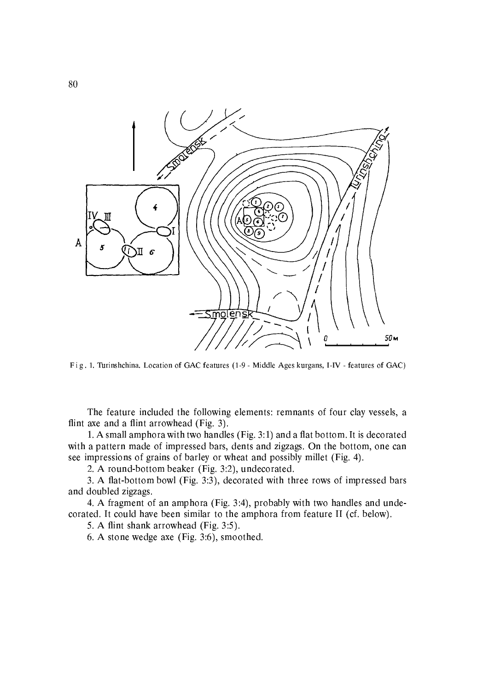

Fig. 1. Turinshchina. Location of GAC features (1-9 - Middle Ages kurgans, I-IV - features of GAC)

The feature included the following elements: remnants of four clay vessels, a flint axe and a flint arrowhead (Fig. 3).

1. A small amphora with two handles (Fig. 3:1) and a flat bottom. It is decorated with a pattern made of impressed bars, dents and zigzags. On the bottom, one can see impressions of grains of barley or wheat and possibly millet (Fig. 4).

2. A round-bottom beaker (Fig. 3:2), undecorated.

3. A flat-bottom bowl (Fig. 3:3), decorated with three rows of impressed bars and doubled zigzags.

4. A fragment of an amphora (Fig. 3:4), probably with two handles and undecorated. It could have been similar to the amphora from feature II (cf. below).

5. A flint shank arrowhead (Fig. 3:5).

6. A stone wedge axe (Fig. 3:6), smoothed.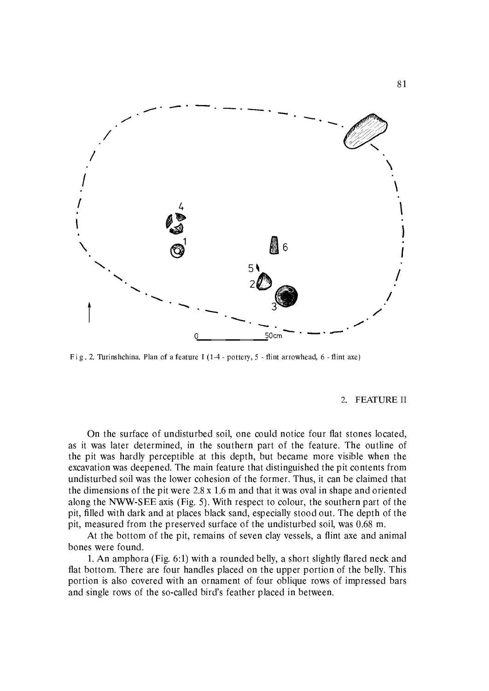

Fig. 2. Turinshchina. Plan of a feature I (1-4 - pottery, 5 - flint arrowhead, 6 - flint axe)

#### 2. FEATURE II

On the surface of undisturbed soil, one could notice four flat stones located, as it was later determined, in the southern part of the feature. The outline of the pit was hardly perceptible at this depth, but became more visible when the excavation was deepened. The main feature that distinguished the pit contents from undisturbed soil was the lower cohesion of the former. Thus, it can be claimed that the dimensions of the pit were  $2.8 \times 1.6$  m and that it was oval in shape and oriented along the NWW-SEE axis (Fig. 5). With respect to colour, the southern part of the pit, filled with dark and at places black sand, especially stood out. The depth of the pit, measured from the preserved surface of the undisturbed soil, was 0.68 m.

At the bottom of the pit, remains of seven clay vessels, a flint axe and animal bones were found.

1. An amphora (Fig. 6:1) with a rounded belly, a short slightly flared neck and flat bottom. There are four handles placed on the upper portion of the belly. This portion is also covered with an ornament of four oblique rows of impressed bars and single rows of the so-called bird's feather placed in between.

81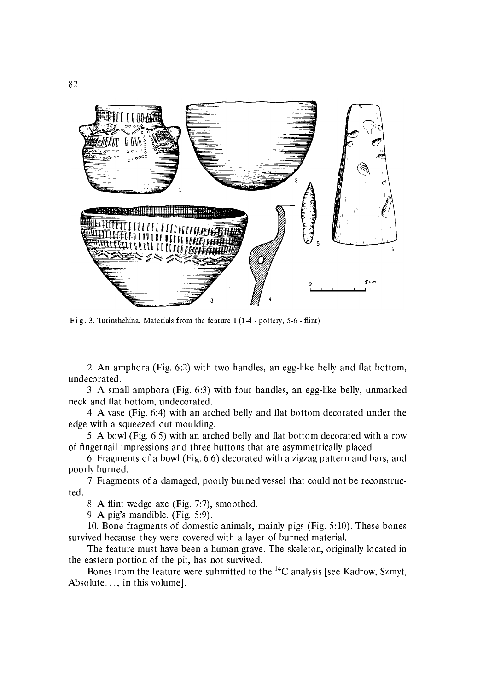

Fig. 3. Turinshchina. Materials from the feature I (1-4 - pottery,  $5-6$  - flint)

2. An amphora (Fig. 6:2) with two handles, an egg-like belly and flat bottom, undecorated.

3. A small amphora (Fig. 6:3) with four handles, an egg-like belly, unmarked neck and flat bottom, undecorated.

4. A vase (Fig. 6:4) with an arched belly and flat bottom decorated under the edge with a squeezed out moulding.

5. A bowl (Fig. 6:5) with an arched belly and flat bottom decorated with a row of fingernail impressions and three buttons that are asymmetrically placed.

6. Fragments of a bowl (Fig. 6.6) decorated with a zigzag pattern and bars, and poorly burned.

7. Fragments of a damaged, poorly burned vessel that could not be reconstructed.

8. A flint wedge axe (Fig. 7:7), smoothed.

9. A pig's mandible. (Fig.  $5:9$ ).

10. Bone fragments of domestic animals, mainly pigs (Fig. 5:10). These bones survived because they were covered with a layer of burned material.

The feature must have been a human grave. The skeleton, originally located in the eastern portion of the pit, has not survived.

Bones from the feature were submitted to the <sup>14</sup>C analysis [see Kadrow, Szmyt, Absolute..., in this volume].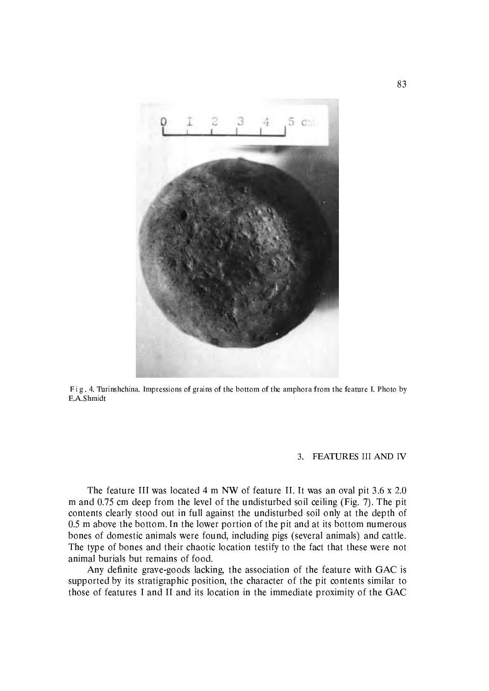

Fig. 4. Turinshchina. Impressions of grains of the bottom of the amphora from the feature I. Photo by E.A.Shmidt

#### 3. FEATURES III AND IV

The feature III was located 4 m NW of feature II. It was an oval pit 3.6 x 2.0 m and 0.75 cm deep from the level of the undisturbed soil ceiling (Fig. 7). The pit contents clearly stood out in full against the undisturbed soil only at the depth of 0.5 m above the bottom. In the lower portion of the pit and at its bottom numerous bones of domestic animals were found, including pigs (several animals) and cattle. The type of bones and their chaotic location testify to the fact that these were not animal burials but remains of food.

Any definite grave-goods lacking, the association of the feature with GAC is supported by its stratigraphic position, the character of the pit contents similar to those of features I and II and its location in the immediate proximity of the GAC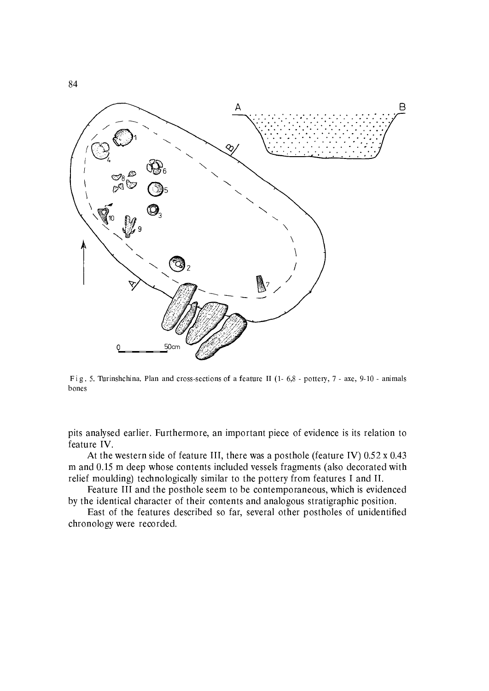

Fig. 5. Turinshchina. Plan and cross-sections of a feature II (1-6,8 - pottery, 7 - axe, 9-10 - animals bones

pits analysed earlier. Furthermore, an important piece of evidence is its relation to feature IV.

At the western side of feature III, there was a posthole (feature IV) 0.52 x 0.43 m and 0.15 m deep whose contents included vessels fragments (also decorated with relief moulding) technologically similar to the pottery from features I and II.

Feature III and the posthole seem to be contemporaneous, which is evidenced by the identical character of their contents and analogous stratigraphic position.

East of the features described so far, several other postholes of unidentified chronology were recorded.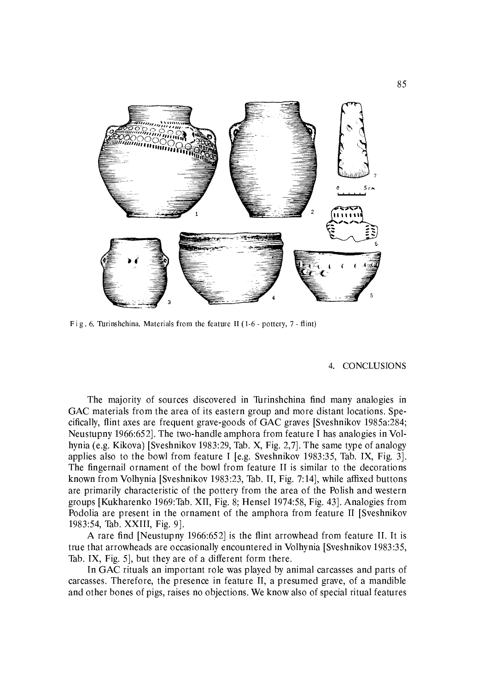

Fig. 6. Turinshchina. Materials from the feature II (1-6 - pottery, 7 - flint)

#### CONCLUSIONS  $4.$

The majority of sources discovered in Turinshchina find many analogies in GAC materials from the area of its eastern group and more distant locations. Specifically, flint axes are frequent grave-goods of GAC graves [Sveshnikov 1985a:284; Neustupny 1966:652. The two-handle amphora from feature I has analogies in Volhynia (e.g. Kikova) [Sveshnikov 1983:29, Tab. X, Fig. 2,7]. The same type of analogy applies also to the bowl from feature I [e.g. Sveshnikov 1983:35, Tab. IX, Fig. 3]. The fingernail ornament of the bowl from feature II is similar to the decorations known from Volhynia [Sveshnikov 1983:23, Tab. II, Fig. 7:14], while affixed buttons are primarily characteristic of the pottery from the area of the Polish and western groups [Kukharenko 1969:Tab, XII, Fig. 8; Hensel 1974:58, Fig. 43]. Analogies from Podolia are present in the ornament of the amphora from feature II [Sveshnikov] 1983:54, Tab. XXIII, Fig. 9.

A rare find [Neustupny 1966:652] is the flint arrowhead from feature II. It is true that arrowheads are occasionally encountered in Volhynia [Sveshnikov 1983:35, Tab. IX, Fig. 5], but they are of a different form there.

In GAC rituals an important role was played by animal carcasses and parts of carcasses. Therefore, the presence in feature II, a presumed grave, of a mandible and other bones of pigs, raises no objections. We know also of special ritual features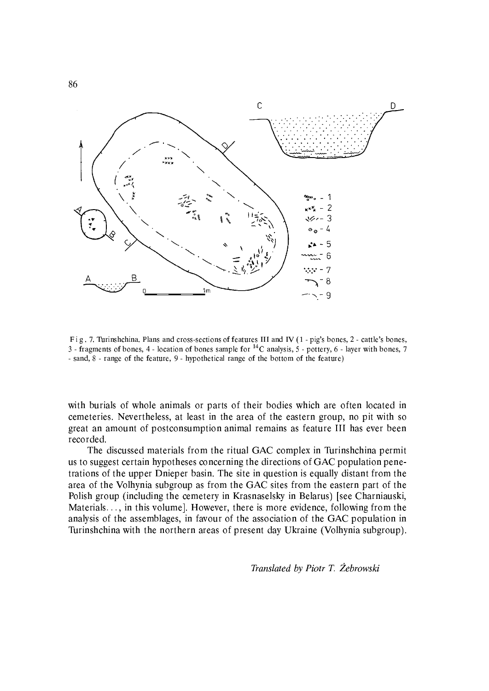

Fig. 7. Turinshchina. Plans and cross-sections of features III and IV (1 - pig's bones, 2 - cattle's bones, 3 - fragments of bones, 4 - location of bones sample for <sup>14</sup>C analysis, 5 - pottery, 6 - layer with bones, 7 - sand, 8 - range of the feature, 9 - hypothetical range of the bottom of the feature)

with burials of whole animals or parts of their bodies which are often located in cemeteries. Nevertheless, at least in the area of the eastern group, no pit with so great an amount of postconsumption animal remains as feature III has ever been recorded.

The discussed materials from the ritual GAC complex in Turinshchina permit us to suggest certain hypotheses concerning the directions of GAC population penetrations of the upper Dnieper basin. The site in question is equally distant from the area of the Volhynia subgroup as from the GAC sites from the eastern part of the Polish group (including the cemetery in Krasnaselsky in Belarus) [see Charniauski, Materials..., in this volume]. However, there is more evidence, following from the analysis of the assemblages, in favour of the association of the GAC population in Turinshchina with the northern areas of present day Ukraine (Volhynia subgroup).

Translated by Piotr T. Żebrowski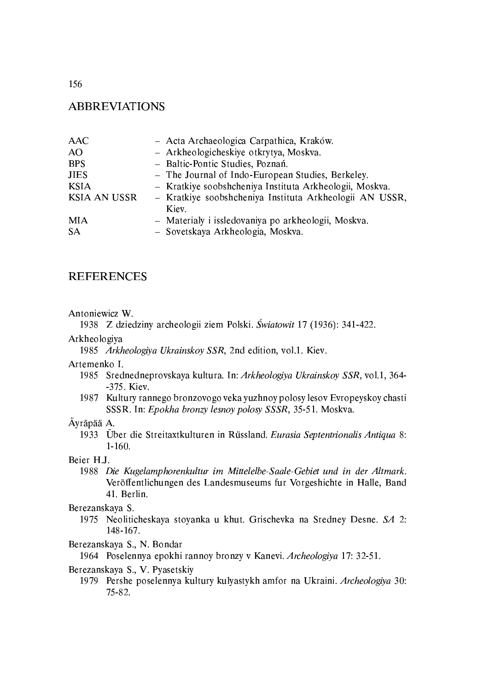156

# **ABBREVIATIONS**

| - Kratkiye soobshcheniya Instituta Arkheologii AN USSR, |
|---------------------------------------------------------|
|                                                         |
|                                                         |
|                                                         |
|                                                         |

#### **REFERENCES**

#### Antoniewicz W.

1938 Z dziedziny archeologii ziem Polski. Światowit 17 (1936): 341-422.

#### Arkheologiya

1985 Arkheologiya Ukrainskoy SSR, 2nd edition, vol.1. Kiev.

Artemenko I.

- 1985 Srednedneprovskaya kultura. In: Arkheologiya Ukrainskoy SSR, vol.1, 364--375. Kiev.
- 1987 Kultury rannego bronzovogo veka yuzhnoy polosy lesov Evropeyskoy chasti SSSR. In: Epokha bronzy lesnoy polosy SSSR, 35-51. Moskva.

### Äyräpää A.

1933 Über die Streitaxtkulturen in Rüssland. Eurasia Septentrionalis Antiqua 8:  $1 - 160.$ 

#### Beier H.J.

1988 Die Kugelamphorenkultur im Mittelelbe-Saale-Gebiet und in der Altmark. Veröffentlichungen des Landesmuseums fur Vorgeshichte in Halle, Band 41. Berlin.

#### Berezanskaya S.

1975 Neoliticheskaya stoyanka u khut. Grischevka na Sredney Desne. SA 2: 148-167.

Berezanskaya S., N. Bondar

1964 Poselennya epokhi rannoy bronzy v Kanevi. Archeologiya 17: 32-51.

#### Berezanskaya S., V. Pyasetskiy

1979 Pershe poselennya kultury kulyastykh amfor na Ukraini. Archeologiya 30: 75-82.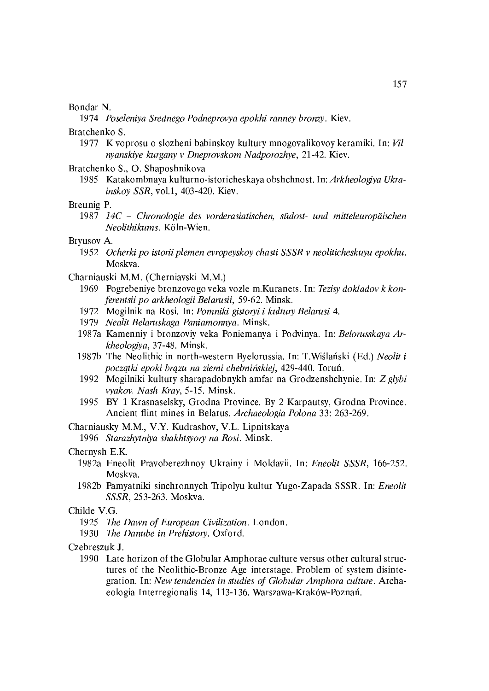#### Bondar N.

1974 Poseleniya Srednego Podneprovya epokhi ranney bronzy. Kiev.

#### Bratchenko S.

- 1977 K voprosu o slozheni babinskoy kultury mnogovalikovoy keramiki. In: Vilnyanskiye kurgany v Dneprovskom Nadporozhye, 21-42. Kiev.
- Bratchenko S., O. Shaposhnikova
	- 1985 Katakombnaya kulturno-istoricheskaya obshchnost. In: Arkheologiya Ukrainskov SSR, vol.1, 403-420. Kiev.

#### Breunig P.

1987 14C - Chronologie des vorderasiatischen, südost- und mitteleuropäischen Neolithikums. Köln-Wien.

#### Bryusov A.

- 1952 Ocherki po istorii plemen evropeyskoy chasti SSSR v neoliticheskuyu epokhu. Moskva.
- Charniauski M.M. (Cherniavski M.M.)
	- 1969 Pogrebeniye bronzovogo veka vozle m. Kuranets. In: Tezisy dokladov k konferentsii po arkheologii Belarusii, 59-62. Minsk.
	- 1972 Mogilnik na Rosi. In: Pomniki gistoryi i kultury Belarusi 4.
	- 1979 Nealit Belaruskaga Paniamonnya. Minsk.
	- 1987a Kamenniy i bronzoviy veka Poniemanya i Podvinya. In: Belorusskaya Arkheologiva, 37-48. Minsk.
	- 1987b The Neolithic in north-western Byelorussia. In: T.Wiślański (Ed.) Neolit i początki epoki brązu na ziemi chełmińskiej, 429-440. Toruń.
	- 1992 Mogilniki kultury sharapadobnykh amfar na Grodzenshchynie. In: Z glybi vyakov. Nash Kray, 5-15. Minsk.
	- 1995 BY 1 Krasnaselsky, Grodna Province. By 2 Karpautsy, Grodna Province. Ancient flint mines in Belarus. Archaeologia Polona 33: 263-269.
- Charniausky M.M., V.Y. Kudrashov, V.L. Lipnitskaya
	- 1996 Starazhytniya shakhtsyory na Rosi. Minsk.

#### Chernysh E.K.

- 1982a Eneolit Pravoberezhnov Ukrainy i Moldavii. In: Eneolit SSSR, 166-252. Moskva.
- 1982b Pamyatniki sinchronnych Tripolyu kultur Yugo-Zapada SSSR. In: Eneolit SSSR, 253-263. Moskva.

#### Childe V.G.

- 1925 The Dawn of European Civilization. London.
- 1930 The Danube in Prehistory. Oxford.
- Czebreszuk J.
	- 1990 Late horizon of the Globular Amphorae culture versus other cultural structures of the Neolithic Bronze Age interstage. Problem of system disintegration. In: New tendencies in studies of Globular Amphora culture. Archaeologia Interregionalis 14, 113-136. Warszawa-Kraków-Poznań.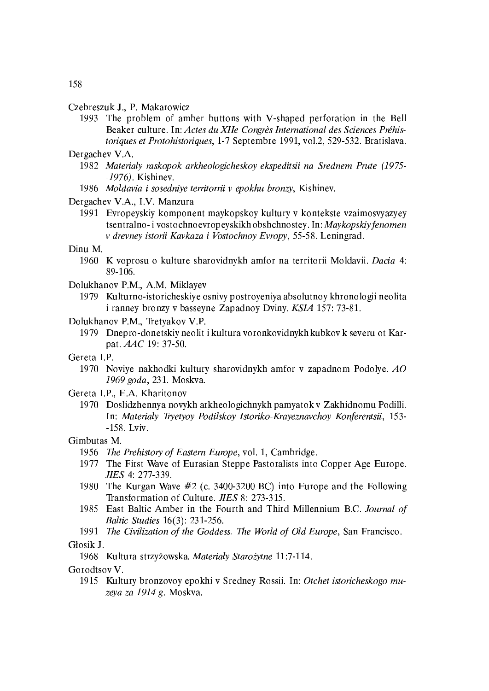#### Czebreszuk J., P. Makarowicz

1993 The problem of amber buttons with V-shaped perforation in the Bell Beaker culture. In: Actes du XIIe Congrès International des Sciences Préhistoriques et Protohistoriques, 1-7 Septembre 1991, vol.2, 529-532. Bratislava.

#### Dergachev V.A.

- 1982 Materialy raskopok arkheologicheskoy ekspeditsii na Srednem Prute (1975- $-1976$ ). Kishinev.
- 1986 Moldavia i sosednive territorrii v epokhu bronzv, Kishinev.

#### Dergachev V.A., I.V. Manzura

1991 Evropeyskiy komponent maykopskoy kultury v kontekste vzaimosvyazyey tsentralno-ivostochnoevropeyskikh obshchnostey. In: Maykopskiy fenomen v drevney istorii Kavkaza i Vostochnoy Evropy, 55-58. Leningrad.

#### Dinu M.

- 1960 K voprosu o kulture sharovidnykh amfor na territorii Moldavii. Dacia 4: 89-106.
- Dolukhanov P.M., A.M. Miklayev
	- 1979 Kulturno-istoricheskiye osnivy postroyeniya absolutnoy khronologii neolita i ranney bronzy v basseyne Zapadnoy Dviny. KSIA 157: 73-81.
- Dolukhanov P.M., Tretyakov V.P.
	- 1979 Dnepro-donetskiy neolit i kultura voronkovidnykh kubkov k severu ot Karpat. AAC 19: 37-50.
- Gereta I.P.
	- 1970 Noviye nakhodki kultury sharovidnykh amfor v zapadnom Podolye. AO 1969 goda, 231. Moskva.

Gereta I.P., E.A. Kharitonov

1970 Doslidzhennya novykh arkheologichnykh pamyatok v Zakhidnomu Podilli. In: Materialy Tryetyoy Podilskoy Istoriko-Krayeznavchoy Konferentsii, 153-158. Lviv.

#### Gimbutas M.

- 1956 The Prehistory of Eastern Europe, vol. 1, Cambridge.
- 1977 The First Wave of Eurasian Steppe Pastoralists into Copper Age Europe. JIES 4: 277-339.
- 1980 The Kurgan Wave #2 (c. 3400-3200 BC) into Europe and the Following Transformation of Culture, *JIES* 8: 273-315.
- 1985 East Baltic Amber in the Fourth and Third Millennium B.C. Journal of Baltic Studies 16(3): 231-256.
- 1991 The Civilization of the Goddess. The World of Old Europe, San Francisco.

#### Głosik J.

1968 Kultura strzyżowska. Materiały Starożytne 11:7-114.

Gorodtsov V.

1915 Kultury bronzovoy epokhi v Sredney Rossii. In: Otchet istoricheskogo muzeya za 1914 g. Moskva.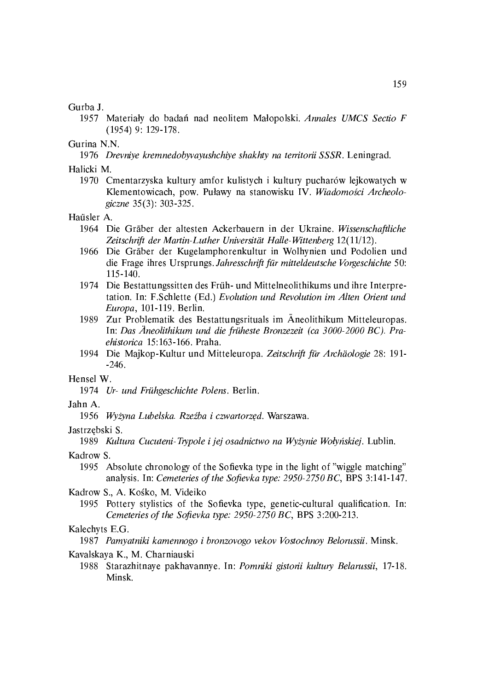#### Gurba J.

1957 Materiały do badań nad neolitem Małopolski. Annales UMCS Sectio F  $(1954)$  9: 129-178.

Gurina N.N.

1976 Drevniye kremnedobyvayushchiye shakhty na territorii SSSR. Leningrad.

Halicki M.

1970 Cmentarzyska kultury amfor kulistych i kultury pucharów lejkowatych w Klementowicach, pow. Puławy na stanowisku IV. Wiadomości Archeologiczne 35(3): 303-325.

#### Haüsler A.

- 1964 Die Gräber der altesten Ackerbauern in der Ukraine. Wissenschaftliche Zeitschrift der Martin-Luther Universität Halle-Wittenberg 12(11/12).
- 1966 Die Gräber der Kugelamphorenkultur in Wolhynien und Podolien und die Frage ihres Ursprungs. Jahresschrift für mitteldeutsche Vorgeschichte 50:  $115 - 140$ .
- 1974 Die Bestattungssitten des Früh- und Mittelneolithikums und ihre Interpretation. In: F.Schlette (Ed.) Evolution und Revolution im Alten Orient und Europa, 101-119. Berlin.
- 1989 Zur Problematik des Bestattungsrituals im Aneolithikum Mitteleuropas. In: Das Äneolithikum und die früheste Bronzezeit (ca 3000-2000 BC). Praehistorica 15:163-166. Praha.
- 1994 Die Majkop-Kultur und Mitteleuropa. Zeitschrift für Archäologie 28: 191- $-246.$

#### Hensel W.

1974 Ur- und Frühgeschichte Polens, Berlin.

#### Jahn A.

1956 Wyżyna Lubelska. Rzeźba i czwartorzęd. Warszawa.

#### Jastrzebski S.

1989 Kultura Cucuteni-Trypole i jej osadnictwo na Wyżynie Wołyńskiej. Lublin.

#### Kadrow S.

- 1995 Absolute chronology of the Sofievka type in the light of "wiggle matching" analysis. In: Cemeteries of the Sofievka type: 2950-2750 BC, BPS 3:141-147.
- Kadrow S., A. Kośko, M. Videiko
	- 1995 Pottery stylistics of the Sofievka type, genetic-cultural qualification. In: Cemeteries of the Sofievka type: 2950-2750 BC, BPS 3:200-213.

#### Kalechyts E.G.

1987 Pamyatniki kamennogo i bronzovogo vekov Vostochnoy Belorussii. Minsk.

Kavalskaya K., M. Charniauski

1988 Starazhitnaye pakhayannye, In: Pomniki gistorii kultury Belarussii, 17-18. Minsk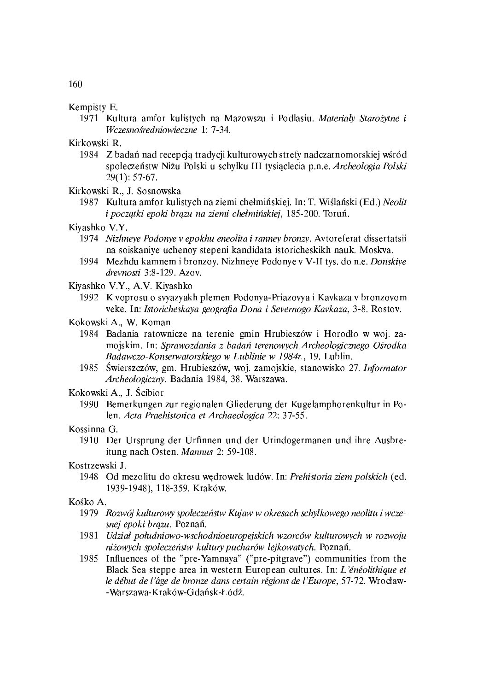#### Kempisty E.

1971 Kultura amfor kulistych na Mazowszu i Podlasiu. Materiały Starożytne i Wczesnośredniowieczne 1: 7-34.

Kirkowski R.

1984 Z badań nad recepcją tradycji kulturowych strefy nadczarnomorskiej wśród społeczeństw Niżu Polski u schyłku III tysiąclecia p.n.e. Archeologia Polski  $29(1): 57-67.$ 

Kirkowski R., J. Sosnowska

- 1987 Kultura amfor kulistych na ziemi chełmińskiej. In: T. Wiślański (Ed.) Neolit i początki epoki brązu na ziemi chełmińskiej, 185-200. Toruń.
- Kiyashko V.Y.
	- 1974 Nizhneye Podonye v epokhu eneolita i ranney bronzy. Avtoreferat dissertatsii na soiskaniye uchenoy stepeni kandidata istoricheskikh nauk. Moskva.
	- 1994 Mezhdu kamnem i bronzoy. Nizhneye Podonye v V-II tys. do n.e. Donskiye drevnosti 3:8-129. Azov.

Kiyashko V.Y., A.V. Kiyashko

- 1992 K voprosu o svyazyakh plemen Podonya-Priazovya i Kavkaza v bronzovom veke. In: Istoricheskaya geografia Dona i Severnogo Kavkaza, 3-8. Rostov.
- Kokowski A., W. Koman
	- 1984 Badania ratownicze na terenie gmin Hrubieszów i Horodło w woj. zamojskim. In: Sprawozdania z badań terenowych Archeologicznego Ośrodka Badawczo-Konserwatorskiego w Lublinie w 1984r., 19. Lublin.
	- 1985 Świerszczów, gm. Hrubieszów, woj. zamojskie, stanowisko 27. Informator Archeologiczny. Badania 1984, 38. Warszawa.

Kokowski A., J. Ścibior

1990 Bemerkungen zur regionalen Gliederung der Kugelamphorenkultur in Polen. Acta Praehistorica et Archaeologica 22: 37-55.

Kossinna G.

1910 Der Ursprung der Urfinnen und der Urindogermanen und ihre Ausbreitung nach Osten. Mannus 2: 59-108.

Kostrzewski J.

1948 Od mezolitu do okresu wędrowek ludów. In: Prehistoria ziem polskich (ed. 1939-1948), 118-359. Kraków.

#### Kośko A.

- 1979 Rozwój kulturowy społeczeństw Kujaw w okresach schyłkowego neolitu i wczesnej epoki brazu. Poznań.
- 1981 Udział południowo-wschodnioeuropejskich wzorców kulturowych w rozwoju niżowych społeczeństw kultury pucharów lejkowatych. Poznań.
- 1985 Influences of the "pre-Yamnaya" ("pre-pitgrave") communities from the Black Sea steppe area in western European cultures. In: L'énéolithique et le début de l'âge de bronze dans certain régions de l'Europe, 57-72. Wrocław--Warszawa-Kraków-Gdańsk-Łódź.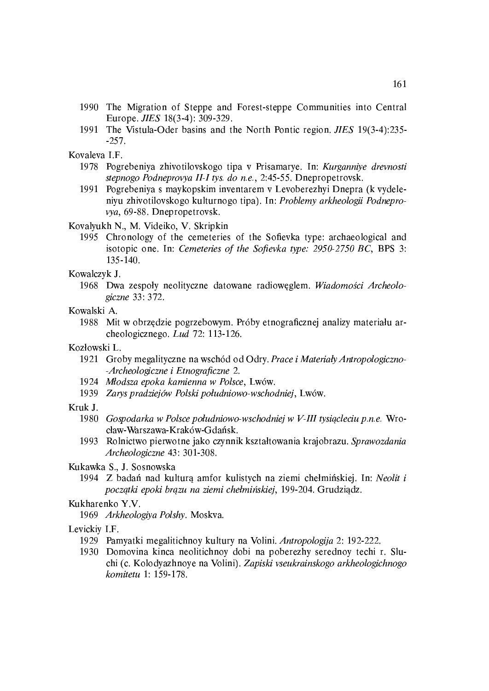- 1990 The Migration of Steppe and Forest-steppe Communities into Central Europe. *JIES* 18(3-4): 309-329.
- 1991 The Vistula-Oder basins and the North Pontic region. *JIES* 19(3-4):235- $-257.$

Kovaleva I.F.

- 1978 Pogrebeniya zhivotilovskogo tipa v Prisamarye. In: Kurganniye drevnosti stepnogo Podneprovya II-I tys. do n.e., 2:45-55. Dnepropetrovsk.
- 1991 Pogrebeniya s maykopskim inventarem v Levoberezhyi Dnepra (k vydeleniyu zhivotilovskogo kulturnogo tipa). In: Problemy arkheologii Podneprovya, 69-88. Dnepropetrovsk.

Kovalyukh N., M. Videiko, V. Skripkin

1995 Chronology of the cemeteries of the Sofievka type: archaeological and isotopic one. In: Cemeteries of the Sofievka type: 2950-2750 BC, BPS 3: 135-140.

Kowalczyk J.

1968 Dwa zespoły neolityczne datowane radiowęglem. Wiadomości Archeologiczne 33: 372.

Kowalski A.

1988 Mit w obrzędzie pogrzebowym. Próby etnograficznej analizy materiału archeologicznego. Lud 72: 113-126.

Kozłowski L.

- 1921 Groby megalityczne na wschód od Odry. Prace i Materiały Antropologiczno--Archeologiczne i Etnograficzne 2.
- 1924 Młodsza epoka kamienna w Polsce, Lwów.
- 1939 Zarvs pradziejów Polski południowo-wschodniej, Lwów.

#### Kruk J.

- 1980 Gospodarka w Polsce południowo-wschodniej w V-III tysiącleciu p.n.e. Wrocław-Warszawa-Kraków-Gdańsk.
- 1993 Rolnictwo pierwotne jako czynnik kształtowania krajobrazu. Sprawozdania Archeologiczne 43: 301-308.

Kukawka S., J. Sosnowska

1994 Z badań nad kulturą amfor kulistych na ziemi chełmińskiej. In: Neolit i początki epoki brązu na ziemi chełmińskiej, 199-204. Grudziądz.

#### Kukharenko Y.V.

1969 Arkheologiya Polshy, Moskva.

#### Levickiy I.F.

- 1929 Pamyatki megalitichnoy kultury na Volini. Antropologija 2: 192-222.
- 1930 Domovina kinca neolitichnoy dobi na poberezhy serednoy techi r. Sluchi (c. Kolodyazhnoye na Volini). Zapiski vseukrainskogo arkheologichnogo komitetu 1: 159-178.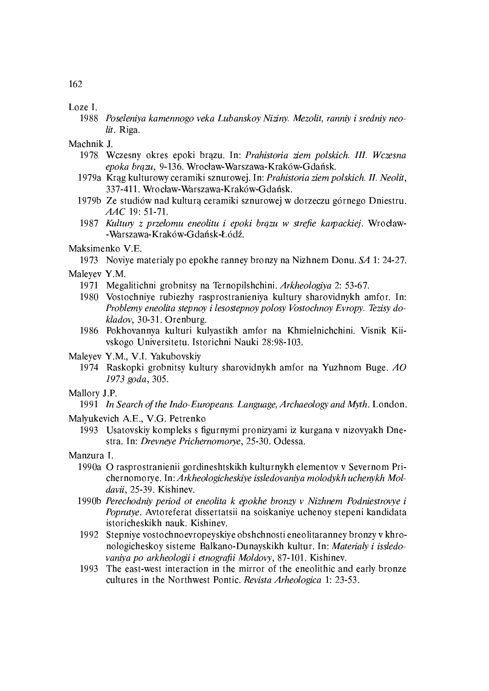Loze I.

1988 Poseleniya kamennogo veka Lubanskoy Niziny. Mezolit, ranniy i sredniy neolit. Riga.

Machnik J.

- 1978 Wczesny okres epoki brązu. In: Prahistoria ziem polskich. III. Wczesna epoka brązu, 9-136. Wrocław-Warszawa-Kraków-Gdańsk.
- 1979a Krąg kulturowy ceramiki sznurowej. In: Prahistoria ziem polskich. II. Neolit, 337-411. Wrocław-Warszawa-Kraków-Gdańsk.
- 1979b Ze studiów nad kulturą ceramiki sznurowej w dorzeczu górnego Dniestru. AAC 19: 51-71.
- 1987 Kultury z przełomu eneolitu i epoki brązu w strefie karpackiej. Wrocław--Warszawa-Kraków-Gdańsk-Łódź.

Maksimenko V.E.

1973 Noviye materialy po epokhe ranney bronzy na Nizhnem Donu. SA 1: 24-27.

Maleyev Y.M.

- 1971 Megalitichni grobnitsy na Ternopilshchini. Arkheologiya 2: 53-67.
- 1980 Vostochniye rubiezhy rasprostranieniya kultury sharovidnykh amfor. In: Problemy eneolita stepnoy i lesostepnoy polosy Vostochnoy Evropy. Tezisy dokladov, 30-31. Orenburg.
- 1986 Pokhovannya kulturi kulyastikh amfor na Khmielnichchini. Visnik Kiivskogo Universitetu. Istorichni Nauki 28:98-103.

Maleyev Y.M., V.I. Yakubovskiy

1974 Raskopki grobnitsy kultury sharovidnykh amfor na Yuzhnom Buge. AO 1973 goda, 305.

Mallory J.P.

1991 In Search of the Indo-Europeans. Language, Archaeology and Myth, London.

Malyukevich A.E., V.G. Petrenko

1993 Usatovskiy kompleks s figurnymi pronizyami iz kurgana v nizovyakh Dnestra. In: Drevneye Prichernomorye, 25-30. Odessa.

Manzura I.

- 1990a O rasprostranienii gordineshtskikh kulturnykh elementov v Severnom Prichernomorye. In: Arkheologicheskiye issledovaniya molodykh uchenykh Moldavii, 25-39. Kishinev.
- 1990b Perechodniy period ot eneolita k epokhe bronzy v Nizhnem Podniestrovye i Poprutye. Avtoreferat dissertatsii na soiskaniye uchenoy stepeni kandidata istoricheskikh nauk. Kishinev.
- 1992 Stepniye vostochnoevropeyskiye obshchnosti eneolitaranney bronzy v khronologicheskoy sisteme Balkano-Dunayskikh kultur. In: Materialy i issledovaniya po arkheologii i etnografii Moldovy, 87-101. Kishinev.
- 1993 The east-west interaction in the mirror of the eneolithic and early bronze cultures in the Northwest Pontic. Revista Arheologica 1: 23-53.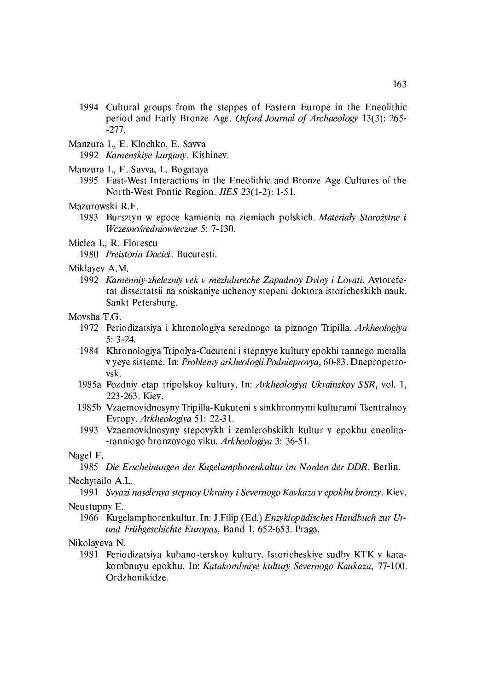- 1994 Cultural groups from the steppes of Eastern Europe in the Eneolithic period and Early Bronze Age. Oxford Journal of Archaeology 13(3): 265- $-277.$
- Manzura I., E. Klochko, E. Savva

1992 Kamenskiye kurgany. Kishinev.

- Manzura I., E. Savva, L. Bogataya
	- 1995 East-West Interactions in the Eneolithic and Bronze Age Cultures of the North-West Pontic Region. JIES 23(1-2): 1-51.

#### Mazurowski R.F.

1983 Bursztyn w epoce kamienia na ziemiach polskich. Materiały Starożytne i Wczesnośredniowieczne 5: 7-130.

#### Miclea I., R. Florescu

1980 Preistoria Daciei, Bucuresti.

#### Miklayev A.M.

1992 Kamenniy-zhelezniy vek v mezhdureche Zapadnoy Dviny i Lovati. Avtoreferat dissertatsii na soiskaniye uchenoy stepeni doktora istoricheskikh nauk. Sankt Petersburg.

#### Movsha T.G.

- 1972 Periodizatsiya i khronologiya serednogo ta piznogo Tripilla. Arkheologiya  $5:3.24$
- 1984 Khronologiya Tripolya-Cucuteni i stepnyye kultury epokhi rannego metalla v yeye sisteme. In: Problemy arkheologii Podnieprovya, 60-83. Dnepropetrovsk.
- 1985a Pozdniy etap tripolskoy kultury. In: Arkheologiya Ukrainskoy SSR, vol. 1, 223-263. Kiev.
- 1985b Vzaemovidnosyny Tripilla-Kukuteni s sinkhronnymi kulturami Tsentralnoy Evropy. Arkheologiya 51: 22-31.
- 1993 Vzaemovidnosyny stepovykh i zemlerobskikh kultur v epokhu eneolita--ranniogo bronzovogo viku. Arkheologiya 3: 36-51.

#### Nagel E.

1985 Die Erscheinungen der Kugelamphorenkultur im Norden der DDR. Berlin.

#### Nechytailo A.L.

1991 Svyazi naselenya stepnoy Ukrainy i Severnogo Kavkaza v epokhu bronzy. Kiev.

## Neustupny E.

1966 Kugelamphorenkultur. In: J.Filip (Ed.) Enzyklopädisches Handbuch zur Urund Frühgeschichte Europas, Band 1, 652-653. Praga.

#### Nikolayeva N.

1981 Periodizatsiya kubano-terskoy kultury. Istoricheskiye sudby KTK v katakombnuyu epokhu. In: Katakombniye kultury Severnogo Kaukaza, 77-100. Ordzhonikidze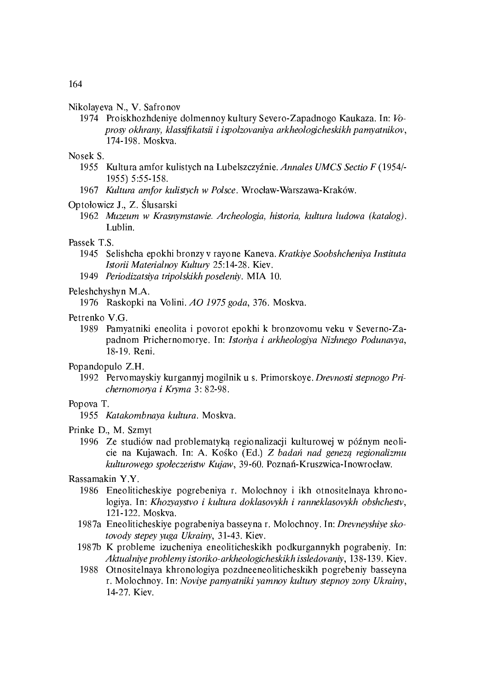#### Nikolayeva N. V. Safronov

1974 Proiskhozhdeniye dolmennoy kultury Severo-Zapadnogo Kaukaza. In: Voprosy okhrany, klassifikatsii i ispolzovaniya arkheologicheskikh pamyatnikov, 174-198. Moskva.

#### Nosek S.

- 1955 Kultura amfor kulistych na Lubelszczyźnie. Annales UMCS Sectio F (1954/-1955) 5:55-158.
- 1967 Kultura amfor kulistych w Polsce. Wrocław-Warszawa-Kraków.

#### Optołowicz J., Z. Ślusarski

1962 Muzeum w Krasnymstawie. Archeologia, historia, kultura ludowa (katalog). Lublin.

#### Passek T.S.

- 1945 Selishcha epokhi bronzy v rayone Kaneva. Kratkiye Soobshcheniya Instituta Istorii Materialnoy Kultury 25:14-28. Kiev.
- 1949 Periodizatsiya tripolskikh poseleniy. MIA 10.

#### Peleshchyshyn M.A.

1976 Raskopki na Volini, AO 1975 goda, 376. Moskva.

#### Petrenko V.G.

1989 Pamyatniki eneolita i povorot epokhi k bronzovomu veku v Severno-Zapadnom Prichernomorye. In: Istoriya i arkheologiya Nizhnego Podunavya, 18-19. Reni.

#### Popandopulo Z.H.

1992 Pervomayskiy kurgannyi mogilnik u s. Primorskoye. Drevnosti stepnogo Prichernomorya i Kryma 3: 82-98.

#### Popova T.

1955 Katakombnaya kultura. Moskva.

#### Prinke D., M. Szmyt

1996 Ze studiów nad problematyka regionalizacji kulturowej w późnym neolicie na Kujawach. In: A. Kośko (Ed.) Z badań nad genezą regionalizmu kulturowego społeczeństw Kujaw, 39-60, Poznań-Kruszwica-Inowrocław,

#### Rassamakin Y.Y.

- 1986 Eneoliticheskiye pogrebeniya r. Molochnoy i ikh otnositelnaya khronologiya. In: Khozyaystvo i kultura doklasovykh i ranneklasovykh obshchestv, 121-122. Moskva.
- 1987a Eneoliticheskiye pograbeniya basseyna r. Molochnoy. In: Drevneyshiye skotovody stepey yuga Ukrainy, 31-43. Kiev.
- 1987b K probleme izucheniya eneoliticheskikh podkurgannykh pograbeniy. In: Aktualniye problemy istoriko-arkheologicheskikh issledovaniy, 138-139. Kiev.
- 1988 Otnositelnaya khronologiya pozdneeneoliticheskikh pogrebeniy basseyna r. Molochnoy. In: Noviye pamyatniki yamnoy kultury stepnoy zony Ukrainy, 14-27. Kiev.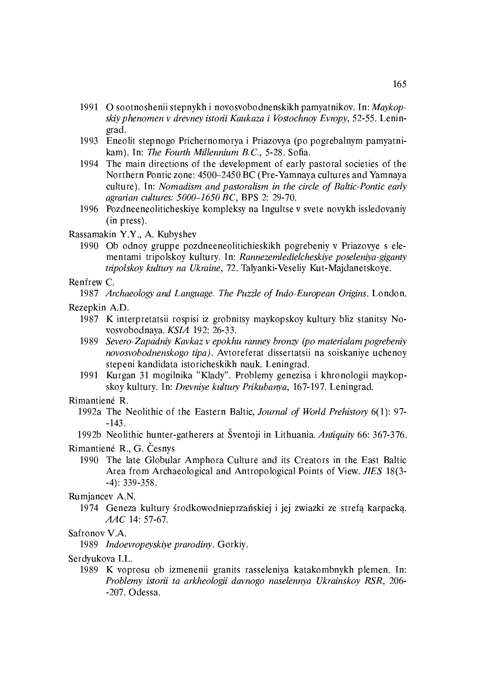- 1991 O sootnoshenii stepnykh i novosvobodnenskikh pamyatnikov. In: Maykopskiy phenomen v drevney istorii Kaukaza i Vostochnoy Evropy, 52-55. Leningrad.
- 1993 Eneolit stepnogo Prichernomorya i Priazovya (po pogrebalnym pamyatnikam). In: The Fourth Millennium B.C., 5-28. Sofia.
- 1994 The main directions of the development of early pastoral societies of the Northern Pontic zone: 4500-2450 BC (Pre-Yamnaya cultures and Yamnaya culture). In: Nomadism and pastoralism in the circle of Baltic-Pontic early agrarian cultures: 5000-1650 BC, BPS 2: 29-70.
- 1996 Pozdneeneoliticheskiye kompleksy na Ingultse v svete novykh issledovaniy  $(in$  press).
- Rassamakin Y.Y., A. Kubyshev
	- 1990 Ob odnoy gruppe pozdneeneolitichieskikh pogrebeniy v Priazovye s elementami tripolskoy kultury. In: Rannezemledielcheskiye poseleniya-giganty tripolskoy kultury na Ukraine, 72. Talyanki-Veseliy Kut-Majdanetskoye.

#### Renfrew C.

1987 Archaeology and Language. The Puzzle of Indo-European Origins. London.

#### Rezepkin A.D.

- 1987 K interpretatsii rospisi iz grobnitsy maykopskoy kultury bliz stanitsy Novosvobodnaya. KSIA 192: 26-33.
- Severo-Zapadniy Kavkaz v epokhu ranney bronzy (po materialam pogrebeniy 1989 novosvobodnenskogo tipa). Avtoreferat dissertatsii na soiskaniye uchenoy stepeni kandidata istoricheskikh nauk. Leningrad.
- 1991 Kurgan 31 mogilnika "Klady". Problemy genezisa i khronologii maykopskoy kultury. In: Drevnive kultury Prikubanya, 167-197. Leningrad.

#### Rimantiené R.

- 1992a The Neolithic of the Eastern Baltic, Journal of World Prehistory 6(1): 97- $-143.$
- 1992b Neolithic hunter-gatherers at Šventoji in Lithuania. Antiquity 66: 367-376.

Rimantiené R., G. Česnys

1990 The late Globular Amphora Culture and its Creators in the East Baltic Area from Archaeological and Antropological Points of View. JIES 18(3- $-4$ : 339 358.

#### Rumjancev A.N.

1974 Geneza kultury środkowodnieprzańskiej i jej zwiazki ze strefą karpacką. AAC 14: 57:67.

#### Safronov V.A.

1989 Indoevropeyskiye prarodiny, Gorkiy,

Serdyukova I.L.

1989 K voprosu ob izmenenii granits rasseleniya katakombnykh plemen. In: Problemy istorii ta arkheologii davnogo naselennya Ukrainskoy RSR, 206- $-207$ . Odessa.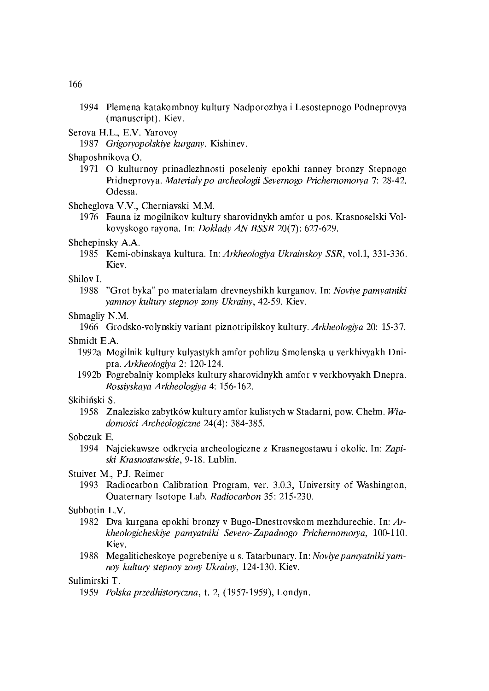- 1994 Plemena katakombnoy kultury Nadporozhya i Lesostepnogo Podneprovya (manuscript). Kiev.
- Serova H.L., E.V. Yarovoy
	- 1987 Grigoryopolskiye kurgany. Kishinev.
- Shaposhnikova O.
	- 1971 O kulturnov prinadlezhnosti poseleniy epokhi ranney bronzy Stepnogo Pridneprovya. Materialy po archeologii Severnogo Prichernomorya 7: 28-42. Odessa.
- Shcheglova V.V., Cherniavski M.M.
	- 1976 Fauna iz mogilnikov kultury sharovidnykh amfor u pos. Krasnoselski Volkovyskogo rayona. In: Doklady AN BSSR 20(7): 627-629.

#### Shchepinsky A.A.

1985 Kemi-obinskaya kultura. In: Arkheologiya Ukrainskoy SSR, vol.1, 331-336. Kiev.

#### Shilov<sub>I.</sub>

1988 "Grot byka" po materialam drevneyshikh kurganov. In: Noviye pamyatniki yamnoy kultury stepnoy zony Ukrainy, 42-59. Kiev.

#### Shmagliv N.M.

1966 Grodsko-volynskiy variant piznotripilskoy kultury. Arkheologiya 20: 15-37.

Shmidt E.A.

- 1992a Mogilnik kultury kulyastykh amfor poblizu Smolenska u verkhivyakh Dnipra. Arkheologiya 2: 120-124.
- 1992b Pogrebalniy kompleks kultury sharovidnykh amfor v verkhovyakh Dnepra. Rossiyskaya Arkheologiya 4: 156-162.

#### Skibiński S.

1958 Znalezisko zabytków kultury amfor kulistych w Stadarni, pow. Chełm. Wiadomości Archeologiczne 24(4): 384-385.

#### Sobczuk E.

1994 Najciekawsze odkrycia archeologiczne z Krasnegostawu i okolic. In: Zapiski Krasnostawskie, 9-18. Lublin.

#### Stuiver M., P.J. Reimer

1993 Radiocarbon Calibration Program, ver. 3.0.3, University of Washington, Quaternary Isotope Lab. Radiocarbon 35: 215-230.

#### Subbotin L.V.

- 1982 Dva kurgana epokhi bronzy v Bugo-Dnestrovskom mezhdurechie. In: Arkheologicheskiye pamyatniki Severo-Zapadnogo Prichernomorya, 100-110. Kiev.
- 1988 Megaliticheskoye pogrebeniye u s. Tatarbunary. In: Noviye pamyatniki yamnov kultury stepnov zony Ukrainy, 124-130. Kiev.

#### Sulimirski T.

1959 Polska przedhistoryczna, t. 2, (1957-1959), Londyn.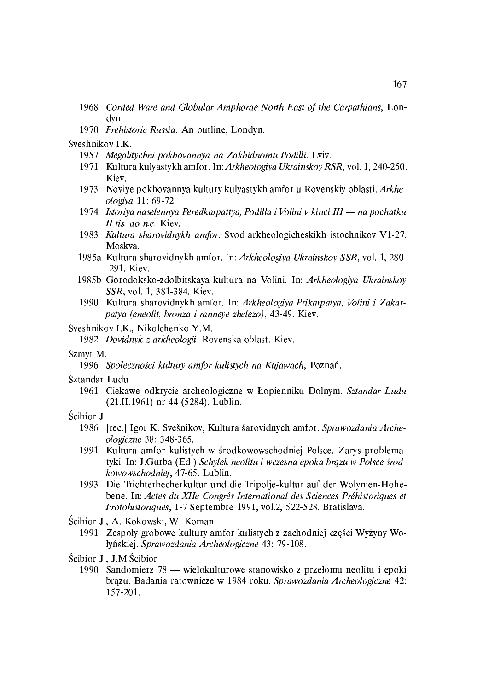- 1968 Corded Ware and Globular Amphorae North-East of the Carpathians, Londyn.
- 1970 Prehistoric Russia. An outline, Londyn.
- Sveshnikov I.K.
	- 1957 Megalitychni pokhovannya na Zakhidnomu Podilli. Lviv.
	- 1971 Kultura kulyastykh amfor, In: Arkheologiya Ukrainskoy RSR, vol. 1, 240-250. Kiev.
	- 1973 Noviye pokhovannya kultury kulyastykh amfor u Rovenskiy oblasti. Arkheologiya 11: 69-72.
	- 1974 Istoriya naselennya Peredkarpattya, Podilla i Volini v kinci III na pochatku II tis. do n.e. Kiev.
	- 1983 Kultura sharovidnykh amfor. Svod arkheologicheskikh istochnikov V1-27. Moskva.
	- 1985a Kultura sharovidnykh amfor. In: Arkheologiya Ukrainskov SSR, vol. 1, 280-291. Kiev.
	- 1985b Gorodoksko-zdolbitskaya kultura na Volini. In: Arkheologiya Ukrainskoy SSR, vol. 1, 381-384. Kiev.
	- 1990 Kultura sharovidnykh amfor. In: Arkheologiya Prikarpatya, Volini i Zakarpatya (eneolit, bronza i ranneye zhelezo), 43-49. Kiev.
- Sveshnikov I.K., Nikolchenko Y.M.

1982 Dovidnyk z arkheologii. Rovenska oblast. Kiev.

#### Szmyt M.

1996 Społeczności kultury amfor kulistych na Kujawach, Poznań.

#### Sztandar Ludu

- 1961 Ciekawe odkrycie archeologiczne w Łopienniku Dolnym. Sztandar Ludu (21.II.1961) nr 44 (5284). Lublin.
- Ścibior J.
	- 1986 [rec.] Igor K. Svešnikov, Kultura šarovidnych amfor, Sprawozdania Archeologiczne 38: 348-365.
	- 1991 Kultura amfor kulistych w środkowowschodniej Polsce. Zarys problematyki. In: J.Gurba (Ed.) Schyłek neolitu i wczesna epoka brązu w Polsce środkowowschodniej, 47-65. Lublin.
	- 1993 Die Trichterbecherkultur und die Tripolje-kultur auf der Wolynien-Hohebene. In: Actes du XIIe Congrés International des Sciences Préhistoriques et Protohistoriques, 1-7 Septembre 1991, vol.2, 522-528. Bratislava.
- Ścibior J., A. Kokowski, W. Koman
	- 1991 Zespoły grobowe kultury amfor kulistych z zachodniej części Wyżyny Wołyńskiej. Sprawozdania Archeologiczne 43: 79-108.
- Ścibior J., J.M.Ścibior
	- 1990 Sandomierz 78 wielokulturowe stanowisko z przełomu neolitu i epoki brązu. Badania ratownicze w 1984 roku. Sprawozdania Archeologiczne 42: 157-201.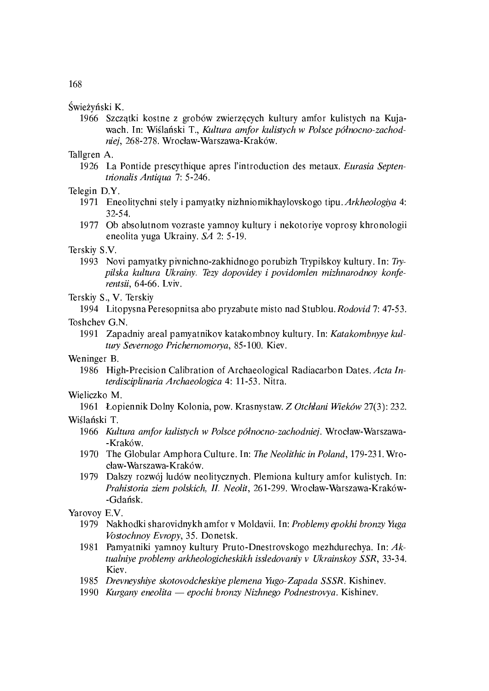#### Świeżyński K.

1966 Szczątki kostne z grobów zwierzęcych kultury amfor kulistych na Kujawach. In: Wiślański T., Kultura amfor kulistych w Polsce północno-zachodniej, 268-278. Wrocław-Warszawa-Kraków.

Tallgren A.

1926 La Pontide prescythique apres l'introduction des metaux. Eurasia Septentrionalis Antiqua 7: 5-246.

Telegin D.Y.

- 1971 Eneolitychni stely i pamyatky nizhniomikhaylovskogo tipu. Arkheologiya 4: 32 54.
- 1977 Ob absolutnom vozraste yamnoy kultury i nekotoriye voprosy khronologii eneolita yuga Ukrainy. SA 2: 5-19.

#### Terskiy S.V.

1993 Novi pamyatky pivnichno-zakhidnogo porubizh Trypilskoy kultury. In: Trypilska kultura Ukrainy. Tezy dopovidey i povidomlen mizhnarodnoy konferentsii, 64 66. Lviv.

Terskiy S., V. Terskiy

1994 Litopysna Peresopnitsa abo pryzabute misto nad Stublou. Rodovid 7: 47-53.

Toshchev G.N.

1991 Zapadniy areal pamyatnikov katakombnoy kultury. In: Katakombnyye kultury Severnogo Prichernomorya, 85-100. Kiev.

Weninger B.

1986 High-Precision Calibration of Archaeological Radiacarbon Dates. Acta Interdisciplinaria Archaeologica 4: 11-53. Nitra.

#### Wieliczko M.

1961 Łopiennik Dolny Kolonia, pow. Krasnystaw. Z Otchłani Wieków 27(3): 232.

#### Wiślański T.

- 1966 Kultura amfor kulistych w Polsce północno-zachodniej. Wrocław-Warszawa-Kraków
- 1970 The Globular Amphora Culture. In: The Neolithic in Poland, 179-231. Wrocław-Warszawa-Kraków.
- 1979 Dalszy rozwój ludów neolitycznych. Plemiona kultury amfor kulistych. In: Prahistoria ziem polskich, II. Neolit, 261-299. Wrocław-Warszawa-Kraków--Gdańsk.

#### Yarovoy E.V.

- 1979 Nakhodki sharovidnykh amfor v Moldavii. In: Problemy epokhi bronzy Yuga Vostochnoy Evropy, 35. Donetsk.
- 1981 Pamyatniki yamnoy kultury Pruto-Dnestrovskogo mezhdurechya. In: Aktualniye problemy arkheologicheskikh issledovaniy v Ukrainskoy SSR, 33-34. Kiev.
- 1985 Drevneyshiye skotovodcheskiye plemena Yugo-Zapada SSSR. Kishinev.
- 1990 Kurgany eneolita epochi bronzy Nizhnego Podnestrovya, Kishinev.

168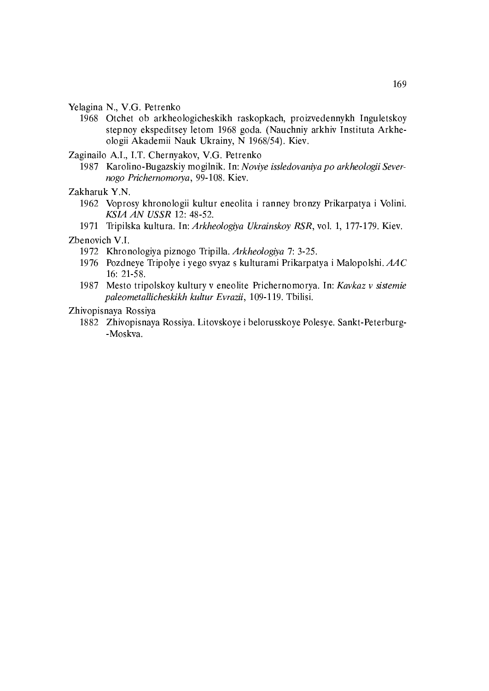- Yelagina N., V.G. Petrenko
	- 1968 Otchet ob arkheologicheskikh raskopkach, proizvedennykh Inguletskoy stepnoy ekspeditsey letom 1968 goda. (Nauchniy arkhiv Instituta Arkheologii Akademii Nauk Ukrainy, N 1968/54). Kiev.
- Zaginailo A.I., I.T. Chernyakov, V.G. Petrenko
	- 1987 Karolino-Bugazskiy mogilnik. In: Noviye issledovaniya po arkheologii Severnogo Prichernomorya, 99-108. Kiev.

Zakharuk Y.N.

- 1962 Voprosy khronologii kultur eneolita i ranney bronzy Prikarpatya i Volini. KSIA AN USSR 12: 48-52.
- 1971 Tripilska kultura. In: Arkheologiya Ukrainskoy RSR, vol. 1, 177-179. Kiev.

Zbenovich V.I.

- 1972 Khronologiya piznogo Tripilla. Arkheologiya 7: 3-25.
- 1976 Pozdneye Tripolye i yego svyaz s kulturami Prikarpatya i Malopolshi.  $AAC$ 16: 21:58.
- 1987 Mesto tripolskoy kultury v eneolite Prichernomorya. In: Kavkaz v sistemie paleometallicheskikh kultur Evrazii, 109-119. Tbilisi.

Zhivopisnaya Rossiya

1882 Zhivopisnaya Rossiya. Litovskoye i belorusskoye Polesye. Sankt-Peterburg--Moskva.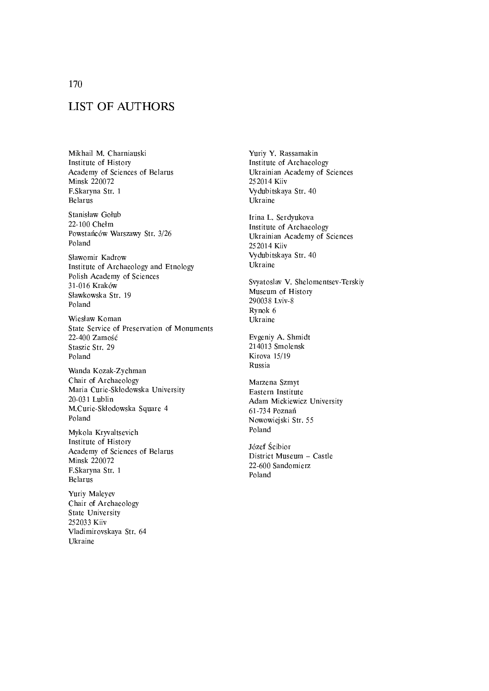# **LIST OF AUTHORS**

Mikhail M. Charniauski Institute of History Academy of Sciences of Belarus Minsk 220072 F.Skaryna Str. 1 **Belarus** 

Stanisław Gołub 22-100 Chełm Powstańców Warszawy Str. 3/26 Poland

Sławomir Kadrow Institute of Archaeology and Etnology Polish Academy of Sciences 31-016 Kraków Sławkowska Str. 19 Poland

Wiesław Koman State Service of Preservation of Monuments 22-400 Zamość Staszic Str. 29 Poland

Wanda Kozak-Zychman Chair of Archaeology Maria Curie-Skłodowska University 20-031 Lublin M.Curie-Skłodowska Square 4 Poland

Mykola Kryvaltsevich Institute of History Academy of Sciences of Belarus **Minsk 220072** F.Skaryna Str. 1 **Belarus** 

Yuriy Maleyev Chair of Archaeology State University 252033 Kiiv Vladimirovskaya Str. 64 Ukraine

Yuriy Y. Rassamakin Institute of Archaeology Ukrainian Academy of Sciences 252014 Kiiv Vydubitskaya Str. 40 Ukraine

Irina L. Serdyukova Institute of Archaeology Ukrainian Academy of Sciences 252014 Kiiv Vydubitskaya Str. 40 Ukraine

Svyatoslav V. Shelomentsev-Terskiy Museum of History 290038 Lviv-8 Rynok 6 Ukraine

Evgeniy A. Shmidt 214013 Smolensk Kirova 15/19 Russia

Marzena Szmyt Eastern Institute Adam Mickiewicz University 61-734 Poznań Nowowiejski Str. 55 Poland

Józef Ścibior District Museum - Castle 22-600 Sandomierz Poland

170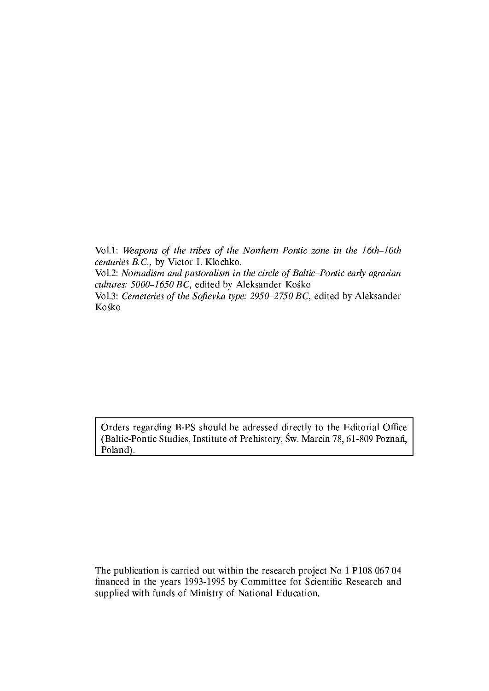Vol.1: Weapons of the tribes of the Northern Pontic zone in the 16th-10th centuries B.C., by Victor I. Klochko.

Vol.2: Nomadism and pastoralism in the circle of Baltic-Pontic early agrarian cultures: 5000-1650 BC, edited by Aleksander Kośko

Vol.3: Cemeteries of the Sofievka type: 2950-2750 BC, edited by Aleksander Kośko

Orders regarding B-PS should be adressed directly to the Editorial Office (Baltic-Pontic Studies, Institute of Prehistory, Św. Marcin 78, 61-809 Poznań, Poland).

The publication is carried out within the research project No 1 P108 067 04 financed in the years 1993-1995 by Committee for Scientific Research and supplied with funds of Ministry of National Education.